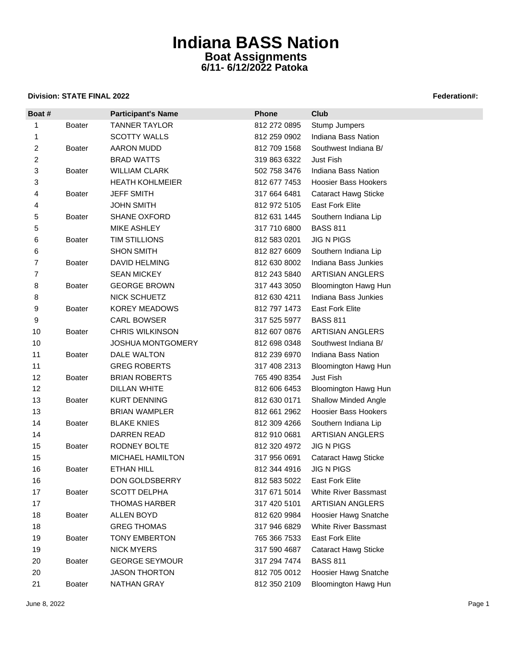### **Division: STATE FINAL 2022 Federation#:**

| Boat #           |               | <b>Participant's Name</b> | Phone        | Club                        |
|------------------|---------------|---------------------------|--------------|-----------------------------|
| 1                | <b>Boater</b> | <b>TANNER TAYLOR</b>      | 812 272 0895 | Stump Jumpers               |
| 1                |               | <b>SCOTTY WALLS</b>       | 812 259 0902 | Indiana Bass Nation         |
| $\boldsymbol{2}$ | Boater        | AARON MUDD                | 812 709 1568 | Southwest Indiana B/        |
| $\overline{c}$   |               | <b>BRAD WATTS</b>         | 319 863 6322 | <b>Just Fish</b>            |
| 3                | <b>Boater</b> | <b>WILLIAM CLARK</b>      | 502 758 3476 | Indiana Bass Nation         |
| 3                |               | <b>HEATH KOHLMEIER</b>    | 812 677 7453 | <b>Hoosier Bass Hookers</b> |
| 4                | <b>Boater</b> | <b>JEFF SMITH</b>         | 317 664 6481 | <b>Cataract Hawg Sticke</b> |
| 4                |               | <b>JOHN SMITH</b>         | 812 972 5105 | <b>East Fork Elite</b>      |
| 5                | Boater        | SHANE OXFORD              | 812 631 1445 | Southern Indiana Lip        |
| 5                |               | MIKE ASHLEY               | 317 710 6800 | <b>BASS 811</b>             |
| 6                | Boater        | TIM STILLIONS             | 812 583 0201 | <b>JIG N PIGS</b>           |
| 6                |               | <b>SHON SMITH</b>         | 812 827 6609 | Southern Indiana Lip        |
| $\overline{7}$   | <b>Boater</b> | <b>DAVID HELMING</b>      | 812 630 8002 | Indiana Bass Junkies        |
| $\overline{7}$   |               | <b>SEAN MICKEY</b>        | 812 243 5840 | <b>ARTISIAN ANGLERS</b>     |
| 8                | <b>Boater</b> | <b>GEORGE BROWN</b>       | 317 443 3050 | <b>Bloomington Hawg Hun</b> |
| 8                |               | NICK SCHUETZ              | 812 630 4211 | Indiana Bass Junkies        |
| 9                | <b>Boater</b> | <b>KOREY MEADOWS</b>      | 812 797 1473 | <b>East Fork Elite</b>      |
| 9                |               | <b>CARL BOWSER</b>        | 317 525 5977 | <b>BASS 811</b>             |
| 10               | <b>Boater</b> | <b>CHRIS WILKINSON</b>    | 812 607 0876 | <b>ARTISIAN ANGLERS</b>     |
| 10               |               | JOSHUA MONTGOMERY         | 812 698 0348 | Southwest Indiana B/        |
| 11               | <b>Boater</b> | DALE WALTON               | 812 239 6970 | Indiana Bass Nation         |
| 11               |               | <b>GREG ROBERTS</b>       | 317 408 2313 | <b>Bloomington Hawg Hun</b> |
| 12               | <b>Boater</b> | <b>BRIAN ROBERTS</b>      | 765 490 8354 | Just Fish                   |
| 12               |               | DILLAN WHITE              | 812 606 6453 | <b>Bloomington Hawg Hun</b> |
| 13               | <b>Boater</b> | <b>KURT DENNING</b>       | 812 630 0171 | <b>Shallow Minded Angle</b> |
| 13               |               | <b>BRIAN WAMPLER</b>      | 812 661 2962 | Hoosier Bass Hookers        |
| 14               | <b>Boater</b> | <b>BLAKE KNIES</b>        | 812 309 4266 | Southern Indiana Lip        |
| 14               |               | DARREN READ               | 812 910 0681 | <b>ARTISIAN ANGLERS</b>     |
| 15               | <b>Boater</b> | RODNEY BOLTE              | 812 320 4972 | <b>JIG N PIGS</b>           |
| 15               |               | MICHAEL HAMILTON          | 317 956 0691 | <b>Cataract Hawg Sticke</b> |
| 16               | <b>Boater</b> | <b>ETHAN HILL</b>         | 812 344 4916 | <b>JIG N PIGS</b>           |
| 16               |               | DON GOLDSBERRY            | 812 583 5022 | <b>East Fork Elite</b>      |
| 17               | Boater        | <b>SCOTT DELPHA</b>       | 317 671 5014 | White River Bassmast        |
| 17               |               | <b>THOMAS HARBER</b>      | 317 420 5101 | <b>ARTISIAN ANGLERS</b>     |
| 18               | <b>Boater</b> | ALLEN BOYD                | 812 620 9984 | Hoosier Hawg Snatche        |
| 18               |               | <b>GREG THOMAS</b>        | 317 946 6829 | <b>White River Bassmast</b> |
| 19               | <b>Boater</b> | TONY EMBERTON             | 765 366 7533 | East Fork Elite             |
| 19               |               | <b>NICK MYERS</b>         | 317 590 4687 | <b>Cataract Hawg Sticke</b> |
| 20               | <b>Boater</b> | <b>GEORGE SEYMOUR</b>     | 317 294 7474 | <b>BASS 811</b>             |
| 20               |               | <b>JASON THORTON</b>      | 812 705 0012 | Hoosier Hawg Snatche        |
| 21               | <b>Boater</b> | NATHAN GRAY               | 812 350 2109 | <b>Bloomington Hawg Hun</b> |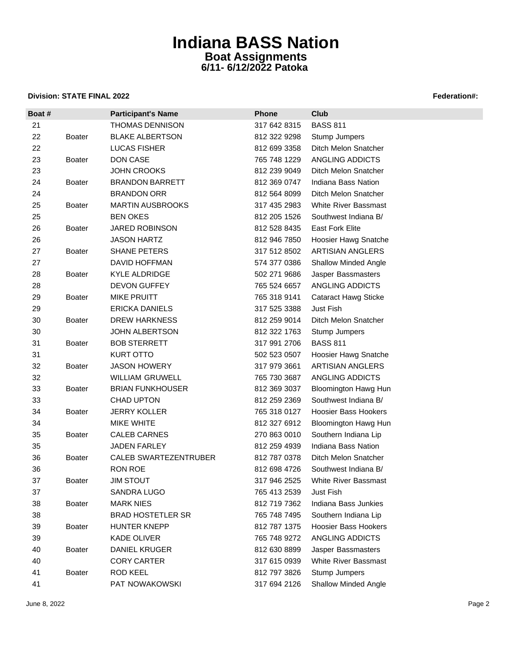### **Division: STATE FINAL 2022 Federation#:**

| Boat # |               | <b>Participant's Name</b>    | <b>Phone</b> | Club                        |
|--------|---------------|------------------------------|--------------|-----------------------------|
| 21     |               | <b>THOMAS DENNISON</b>       | 317 642 8315 | <b>BASS 811</b>             |
| 22     | <b>Boater</b> | <b>BLAKE ALBERTSON</b>       | 812 322 9298 | Stump Jumpers               |
| 22     |               | LUCAS FISHER                 | 812 699 3358 | Ditch Melon Snatcher        |
| 23     | <b>Boater</b> | DON CASE                     | 765 748 1229 | ANGLING ADDICTS             |
| 23     |               | JOHN CROOKS                  | 812 239 9049 | Ditch Melon Snatcher        |
| 24     | <b>Boater</b> | <b>BRANDON BARRETT</b>       | 812 369 0747 | Indiana Bass Nation         |
| 24     |               | <b>BRANDON ORR</b>           | 812 564 8099 | Ditch Melon Snatcher        |
| 25     | <b>Boater</b> | <b>MARTIN AUSBROOKS</b>      | 317 435 2983 | <b>White River Bassmast</b> |
| 25     |               | <b>BEN OKES</b>              | 812 205 1526 | Southwest Indiana B/        |
| 26     | <b>Boater</b> | <b>JARED ROBINSON</b>        | 812 528 8435 | <b>East Fork Elite</b>      |
| 26     |               | <b>JASON HARTZ</b>           | 812 946 7850 | Hoosier Hawg Snatche        |
| 27     | <b>Boater</b> | <b>SHANE PETERS</b>          | 317 512 8502 | <b>ARTISIAN ANGLERS</b>     |
| 27     |               | DAVID HOFFMAN                | 574 377 0386 | <b>Shallow Minded Angle</b> |
| 28     | <b>Boater</b> | <b>KYLE ALDRIDGE</b>         | 502 271 9686 | Jasper Bassmasters          |
| 28     |               | <b>DEVON GUFFEY</b>          | 765 524 6657 | ANGLING ADDICTS             |
| 29     | <b>Boater</b> | <b>MIKE PRUITT</b>           | 765 318 9141 | <b>Cataract Hawg Sticke</b> |
| 29     |               | <b>ERICKA DANIELS</b>        | 317 525 3388 | Just Fish                   |
| 30     | <b>Boater</b> | DREW HARKNESS                | 812 259 9014 | Ditch Melon Snatcher        |
| 30     |               | <b>JOHN ALBERTSON</b>        | 812 322 1763 | Stump Jumpers               |
| 31     | <b>Boater</b> | <b>BOB STERRETT</b>          | 317 991 2706 | <b>BASS 811</b>             |
| 31     |               | <b>KURT OTTO</b>             | 502 523 0507 | Hoosier Hawg Snatche        |
| 32     | Boater        | <b>JASON HOWERY</b>          | 317 979 3661 | <b>ARTISIAN ANGLERS</b>     |
| 32     |               | <b>WILLIAM GRUWELL</b>       | 765 730 3687 | ANGLING ADDICTS             |
| 33     | <b>Boater</b> | <b>BRIAN FUNKHOUSER</b>      | 812 369 3037 | <b>Bloomington Hawg Hun</b> |
| 33     |               | <b>CHAD UPTON</b>            | 812 259 2369 | Southwest Indiana B/        |
| 34     | <b>Boater</b> | <b>JERRY KOLLER</b>          | 765 318 0127 | <b>Hoosier Bass Hookers</b> |
| 34     |               | MIKE WHITE                   | 812 327 6912 | Bloomington Hawg Hun        |
| 35     | <b>Boater</b> | <b>CALEB CARNES</b>          | 270 863 0010 | Southern Indiana Lip        |
| 35     |               | JADEN FARLEY                 | 812 259 4939 | Indiana Bass Nation         |
| 36     | <b>Boater</b> | <b>CALEB SWARTEZENTRUBER</b> | 812 787 0378 | Ditch Melon Snatcher        |
| 36     |               | RON ROE                      | 812 698 4726 | Southwest Indiana B/        |
| 37     | Boater        | <b>JIM STOUT</b>             | 317 946 2525 | White River Bassmast        |
| 37     |               | SANDRA LUGO                  | 765 413 2539 | Just Fish                   |
| 38     | <b>Boater</b> | <b>MARK NIES</b>             | 812 719 7362 | Indiana Bass Junkies        |
| 38     |               | <b>BRAD HOSTETLER SR</b>     | 765 748 7495 | Southern Indiana Lip        |
| 39     | <b>Boater</b> | <b>HUNTER KNEPP</b>          | 812 787 1375 | <b>Hoosier Bass Hookers</b> |
| 39     |               | <b>KADE OLIVER</b>           | 765 748 9272 | ANGLING ADDICTS             |
| 40     | <b>Boater</b> | <b>DANIEL KRUGER</b>         | 812 630 8899 | Jasper Bassmasters          |
| 40     |               | <b>CORY CARTER</b>           | 317 615 0939 | White River Bassmast        |
| 41     | <b>Boater</b> | ROD KEEL                     | 812 797 3826 | Stump Jumpers               |
| 41     |               | PAT NOWAKOWSKI               | 317 694 2126 | <b>Shallow Minded Angle</b> |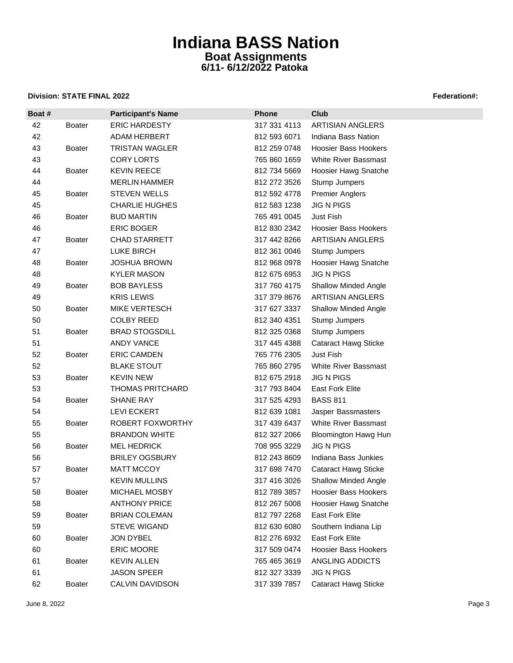### **Division: STATE FINAL 2022 Federation: Propose STATE FINAL 2022**

| Boat # |               | <b>Participant's Name</b> | <b>Phone</b> | <b>Club</b>                 |
|--------|---------------|---------------------------|--------------|-----------------------------|
| 42     | Boater        | <b>ERIC HARDESTY</b>      | 317 331 4113 | ARTISIAN ANGLERS            |
| 42     |               | ADAM HERBERT              | 812 593 6071 | Indiana Bass Nation         |
| 43     | <b>Boater</b> | <b>TRISTAN WAGLER</b>     | 812 259 0748 | <b>Hoosier Bass Hookers</b> |
| 43     |               | <b>CORY LORTS</b>         | 765 860 1659 | <b>White River Bassmast</b> |
| 44     | <b>Boater</b> | <b>KEVIN REECE</b>        | 812 734 5669 | Hoosier Hawg Snatche        |
| 44     |               | <b>MERLIN HAMMER</b>      | 812 272 3526 | Stump Jumpers               |
| 45     | <b>Boater</b> | <b>STEVEN WELLS</b>       | 812 592 4778 | <b>Premier Anglers</b>      |
| 45     |               | <b>CHARLIE HUGHES</b>     | 812 583 1238 | <b>JIG N PIGS</b>           |
| 46     | Boater        | <b>BUD MARTIN</b>         | 765 491 0045 | <b>Just Fish</b>            |
| 46     |               | ERIC BOGER                | 812 830 2342 | <b>Hoosier Bass Hookers</b> |
| 47     | <b>Boater</b> | <b>CHAD STARRETT</b>      | 317 442 8266 | <b>ARTISIAN ANGLERS</b>     |
| 47     |               | <b>LUKE BIRCH</b>         | 812 361 0046 | Stump Jumpers               |
| 48     | <b>Boater</b> | <b>JOSHUA BROWN</b>       | 812 968 0978 | Hoosier Hawg Snatche        |
| 48     |               | <b>KYLER MASON</b>        | 812 675 6953 | <b>JIG N PIGS</b>           |
| 49     | <b>Boater</b> | <b>BOB BAYLESS</b>        | 317 760 4175 | <b>Shallow Minded Angle</b> |
| 49     |               | <b>KRIS LEWIS</b>         | 317 379 8676 | <b>ARTISIAN ANGLERS</b>     |
| 50     | <b>Boater</b> | <b>MIKE VERTESCH</b>      | 317 627 3337 | <b>Shallow Minded Angle</b> |
| 50     |               | <b>COLBY REED</b>         | 812 340 4351 | Stump Jumpers               |
| 51     | <b>Boater</b> | <b>BRAD STOGSDILL</b>     | 812 325 0368 | Stump Jumpers               |
| 51     |               | <b>ANDY VANCE</b>         | 317 445 4388 | <b>Cataract Hawg Sticke</b> |
| 52     | <b>Boater</b> | <b>ERIC CAMDEN</b>        | 765 776 2305 | Just Fish                   |
| 52     |               | <b>BLAKE STOUT</b>        | 765 860 2795 | <b>White River Bassmast</b> |
| 53     | <b>Boater</b> | <b>KEVIN NEW</b>          | 812 675 2918 | <b>JIG N PIGS</b>           |
| 53     |               | <b>THOMAS PRITCHARD</b>   | 317 793 8404 | <b>East Fork Elite</b>      |
| 54     | <b>Boater</b> | <b>SHANE RAY</b>          | 317 525 4293 | <b>BASS 811</b>             |
| 54     |               | <b>LEVI ECKERT</b>        | 812 639 1081 | Jasper Bassmasters          |
| 55     | <b>Boater</b> | ROBERT FOXWORTHY          | 317 439 6437 | White River Bassmast        |
| 55     |               | <b>BRANDON WHITE</b>      | 812 327 2066 | <b>Bloomington Hawg Hun</b> |
| 56     | <b>Boater</b> | <b>MEL HEDRICK</b>        | 708 955 3229 | <b>JIG N PIGS</b>           |
| 56     |               | <b>BRILEY OGSBURY</b>     | 812 243 8609 | Indiana Bass Junkies        |
| 57     | <b>Boater</b> | MATT MCCOY                | 317 698 7470 | <b>Cataract Hawg Sticke</b> |
| 57     |               | <b>KEVIN MULLINS</b>      | 317 416 3026 | <b>Shallow Minded Angle</b> |
| 58     | <b>Boater</b> | MICHAEL MOSBY             | 812 789 3857 | <b>Hoosier Bass Hookers</b> |
| 58     |               | <b>ANTHONY PRICE</b>      | 812 267 5008 | Hoosier Hawg Snatche        |
| 59     | <b>Boater</b> | <b>BRIAN COLEMAN</b>      | 812 797 2268 | East Fork Elite             |
| 59     |               | STEVE WIGAND              | 812 630 6080 | Southern Indiana Lip        |
| 60     | <b>Boater</b> | JON DYBEL                 | 812 276 6932 | <b>East Fork Elite</b>      |
| 60     |               | <b>ERIC MOORE</b>         | 317 509 0474 | <b>Hoosier Bass Hookers</b> |
| 61     | <b>Boater</b> | <b>KEVIN ALLEN</b>        | 765 465 3619 | ANGLING ADDICTS             |
| 61     |               | <b>JASON SPEER</b>        | 812 327 3339 | <b>JIG N PIGS</b>           |
| 62     | <b>Boater</b> | CALVIN DAVIDSON           | 317 339 7857 | <b>Cataract Hawg Sticke</b> |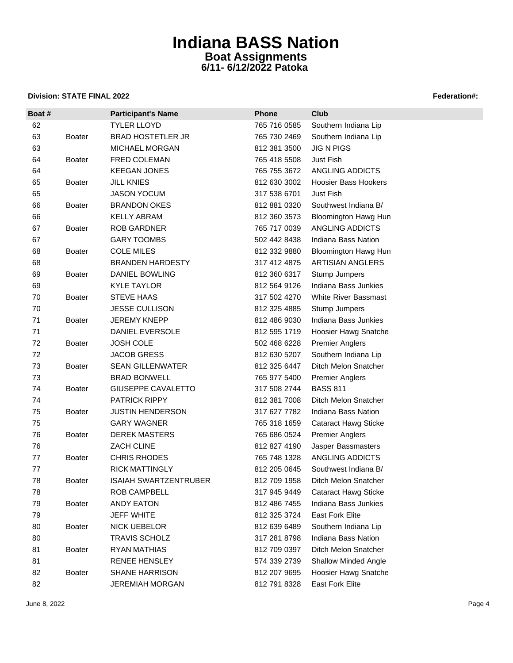### **Division: STATE FINAL 2022 Federation#:**

| Boat # |               | <b>Participant's Name</b>    | Phone        | <b>Club</b>                 |
|--------|---------------|------------------------------|--------------|-----------------------------|
| 62     |               | <b>TYLER LLOYD</b>           | 765 716 0585 | Southern Indiana Lip        |
| 63     | <b>Boater</b> | <b>BRAD HOSTETLER JR</b>     | 765 730 2469 | Southern Indiana Lip        |
| 63     |               | MICHAEL MORGAN               | 812 381 3500 | <b>JIG N PIGS</b>           |
| 64     | <b>Boater</b> | FRED COLEMAN                 | 765 418 5508 | Just Fish                   |
| 64     |               | <b>KEEGAN JONES</b>          | 765 755 3672 | ANGLING ADDICTS             |
| 65     | <b>Boater</b> | <b>JILL KNIES</b>            | 812 630 3002 | <b>Hoosier Bass Hookers</b> |
| 65     |               | <b>JASON YOCUM</b>           | 317 538 6701 | Just Fish                   |
| 66     | Boater        | <b>BRANDON OKES</b>          | 812 881 0320 | Southwest Indiana B/        |
| 66     |               | <b>KELLY ABRAM</b>           | 812 360 3573 | <b>Bloomington Hawg Hun</b> |
| 67     | <b>Boater</b> | <b>ROB GARDNER</b>           | 765 717 0039 | ANGLING ADDICTS             |
| 67     |               | <b>GARY TOOMBS</b>           | 502 442 8438 | Indiana Bass Nation         |
| 68     | <b>Boater</b> | <b>COLE MILES</b>            | 812 332 9880 | <b>Bloomington Hawg Hun</b> |
| 68     |               | <b>BRANDEN HARDESTY</b>      | 317 412 4875 | <b>ARTISIAN ANGLERS</b>     |
| 69     | Boater        | DANIEL BOWLING               | 812 360 6317 | Stump Jumpers               |
| 69     |               | <b>KYLE TAYLOR</b>           | 812 564 9126 | Indiana Bass Junkies        |
| 70     | <b>Boater</b> | <b>STEVE HAAS</b>            | 317 502 4270 | White River Bassmast        |
| 70     |               | <b>JESSE CULLISON</b>        | 812 325 4885 | Stump Jumpers               |
| 71     | <b>Boater</b> | <b>JEREMY KNEPP</b>          | 812 486 9030 | Indiana Bass Junkies        |
| 71     |               | DANIEL EVERSOLE              | 812 595 1719 | Hoosier Hawg Snatche        |
| 72     | <b>Boater</b> | <b>JOSH COLE</b>             | 502 468 6228 | <b>Premier Anglers</b>      |
| 72     |               | <b>JACOB GRESS</b>           | 812 630 5207 | Southern Indiana Lip        |
| 73     | Boater        | <b>SEAN GILLENWATER</b>      | 812 325 6447 | Ditch Melon Snatcher        |
| 73     |               | <b>BRAD BONWELL</b>          | 765 977 5400 | <b>Premier Anglers</b>      |
| 74     | <b>Boater</b> | GIUSEPPE CAVALETTO           | 317 508 2744 | <b>BASS 811</b>             |
| 74     |               | <b>PATRICK RIPPY</b>         | 812 381 7008 | Ditch Melon Snatcher        |
| 75     | <b>Boater</b> | JUSTIN HENDERSON             | 317 627 7782 | Indiana Bass Nation         |
| 75     |               | <b>GARY WAGNER</b>           | 765 318 1659 | <b>Cataract Hawg Sticke</b> |
| 76     | Boater        | <b>DEREK MASTERS</b>         | 765 686 0524 | <b>Premier Anglers</b>      |
| 76     |               | <b>ZACH CLINE</b>            | 812 827 4190 | Jasper Bassmasters          |
| 77     | <b>Boater</b> | <b>CHRIS RHODES</b>          | 765 748 1328 | ANGLING ADDICTS             |
| 77     |               | <b>RICK MATTINGLY</b>        | 812 205 0645 | Southwest Indiana B/        |
| 78     | <b>Boater</b> | <b>ISAIAH SWARTZENTRUBER</b> | 812 709 1958 | Ditch Melon Snatcher        |
| 78     |               | ROB CAMPBELL                 | 317 945 9449 | <b>Cataract Hawg Sticke</b> |
| 79     | <b>Boater</b> | <b>ANDY EATON</b>            | 812 486 7455 | Indiana Bass Junkies        |
| 79     |               | JEFF WHITE                   | 812 325 3724 | East Fork Elite             |
| 80     | <b>Boater</b> | <b>NICK UEBELOR</b>          | 812 639 6489 | Southern Indiana Lip        |
| 80     |               | <b>TRAVIS SCHOLZ</b>         | 317 281 8798 | Indiana Bass Nation         |
| 81     | <b>Boater</b> | <b>RYAN MATHIAS</b>          | 812 709 0397 | Ditch Melon Snatcher        |
| 81     |               | RENEE HENSLEY                | 574 339 2739 | <b>Shallow Minded Angle</b> |
| 82     | <b>Boater</b> | <b>SHANE HARRISON</b>        | 812 207 9695 | Hoosier Hawg Snatche        |
| 82     |               | <b>JEREMIAH MORGAN</b>       | 812 791 8328 | East Fork Elite             |